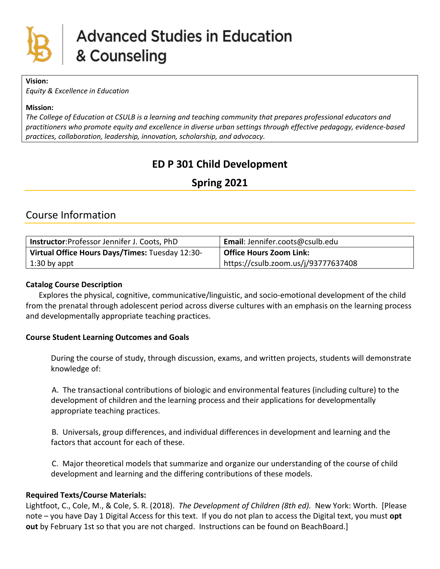

#### **Vision:**

*Equity & Excellence in Education*

#### **Mission:**

*The College of Education at CSULB is a learning and teaching community that prepares professional educators and practitioners who promote equity and excellence in diverse urban settings through effective pedagogy, evidence-based practices, collaboration, leadership, innovation, scholarship, and advocacy.*

## **ED P 301 Child Development**

## **Spring 2021**

## Course Information

| Instructor: Professor Jennifer J. Coots, PhD    | <b>Email:</b> Jennifer.coots@csulb.edu |
|-------------------------------------------------|----------------------------------------|
| Virtual Office Hours Days/Times: Tuesday 12:30- | Office Hours Zoom Link:                |
| 1:30 by appt                                    | https://csulb.zoom.us/j/93777637408    |

#### **Catalog Course Description**

Explores the physical, cognitive, communicative/linguistic, and socio-emotional development of the child from the prenatal through adolescent period across diverse cultures with an emphasis on the learning process and developmentally appropriate teaching practices.

## **Course Student Learning Outcomes and Goals**

During the course of study, through discussion, exams, and written projects, students will demonstrate knowledge of:

A. The transactional contributions of biologic and environmental features (including culture) to the development of children and the learning process and their applications for developmentally appropriate teaching practices.

B. Universals, group differences, and individual differences in development and learning and the factors that account for each of these.

C. Major theoretical models that summarize and organize our understanding of the course of child development and learning and the differing contributions of these models.

## **Required Texts/Course Materials:**

Lightfoot, C., Cole, M., & Cole, S. R. (2018). *The Development of Children (8th ed).* New York: Worth. [Please note – you have Day 1 Digital Access for this text. If you do not plan to access the Digital text, you must **opt out** by February 1st so that you are not charged. Instructions can be found on BeachBoard.]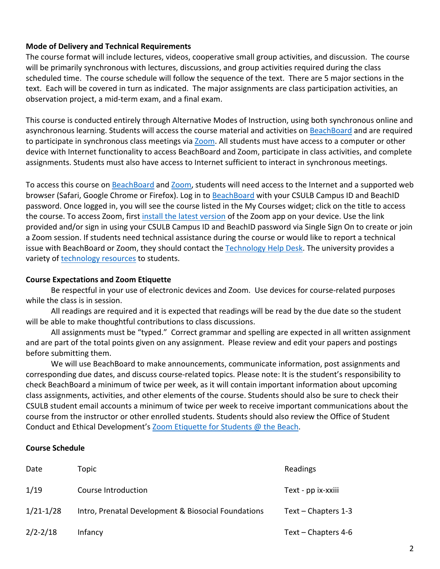#### **Mode of Delivery and Technical Requirements**

The course format will include lectures, videos, cooperative small group activities, and discussion. The course will be primarily synchronous with lectures, discussions, and group activities required during the class scheduled time. The course schedule will follow the sequence of the text. There are 5 major sections in the text. Each will be covered in turn as indicated. The major assignments are class participation activities, an observation project, a mid-term exam, and a final exam.

This course is conducted entirely through Alternative Modes of Instruction, using both synchronous online and asynchronous learning. Students will access the course material and activities on [BeachBoard](https://bbcsulb.desire2learn.com/d2l/home) and are required to participate in synchronous class meetings via [Zoom.](https://csulb.zoom.us/meeting) All students must have access to a computer or other device with Internet functionality to access BeachBoard and Zoom, participate in class activities, and complete assignments. Students must also have access to Internet sufficient to interact in synchronous meetings.

To access this course on [BeachBoard](https://bbcsulb.desire2learn.com/d2l/home) and [Zoom,](https://csulb.zoom.us/meeting) students will need access to the Internet and a supported web browser (Safari, Google Chrome or Firefox). Log in to [BeachBoard](https://bbcsulb.desire2learn.com/) with your CSULB Campus ID and BeachID password. Once logged in, you will see the course listed in the My Courses widget; click on the title to access the course. To access Zoom, first [install the latest version](https://zoom.us/download) of the Zoom app on your device. Use the link provided and/or sign in using your CSULB Campus ID and BeachID password via Single Sign On to create or join a Zoom session. If students need technical assistance during the course or would like to report a technical issue with BeachBoard or Zoom, they should contact the [Technology Help Desk.](https://www.csulb.edu/academic-technology-services/academic-technology-resources-for-students) The university provides a variety of [technology resources](https://www.csulb.edu/academic-technology-services/academic-technology-resources-for-students) to students.

#### **Course Expectations and Zoom Etiquette**

Be respectful in your use of electronic devices and Zoom. Use devices for course-related purposes while the class is in session.

All readings are required and it is expected that readings will be read by the due date so the student will be able to make thoughtful contributions to class discussions.

All assignments must be "typed." Correct grammar and spelling are expected in all written assignment and are part of the total points given on any assignment. Please review and edit your papers and postings before submitting them.

We will use BeachBoard to make announcements, communicate information, post assignments and corresponding due dates, and discuss course-related topics. Please note: It is the student's responsibility to check BeachBoard a minimum of twice per week, as it will contain important information about upcoming class assignments, activities, and other elements of the course. Students should also be sure to check their CSULB student email accounts a minimum of twice per week to receive important communications about the course from the instructor or other enrolled students. Students should also review the Office of Student Conduct and Ethical Development's [Zoom Etiquette for Students @ the Beach.](https://www.csulb.edu/sites/default/files/u48211/zoom_etiquette_for_students.pdf)

#### **Course Schedule**

| Date          | Topic                                               | Readings              |  |
|---------------|-----------------------------------------------------|-----------------------|--|
| 1/19          | Course Introduction                                 | Text - pp ix-xxiii    |  |
| $1/21 - 1/28$ | Intro, Prenatal Development & Biosocial Foundations | Text – Chapters $1-3$ |  |
| $2/2 - 2/18$  | Infancy                                             | Text – Chapters $4-6$ |  |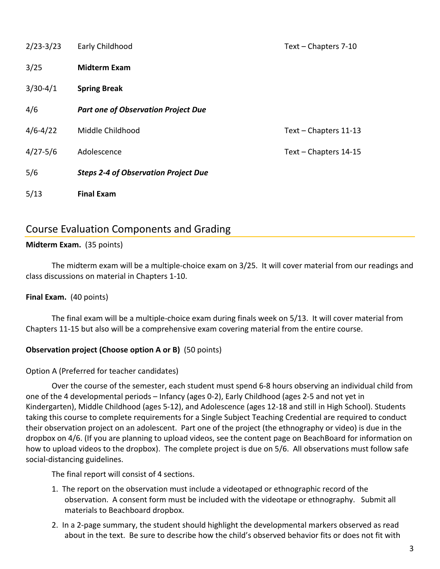| $2/23 - 3/23$ | Early Childhood                             | Text - Chapters 7-10  |
|---------------|---------------------------------------------|-----------------------|
| 3/25          | <b>Midterm Exam</b>                         |                       |
| $3/30-4/1$    | <b>Spring Break</b>                         |                       |
| 4/6           | <b>Part one of Observation Project Due</b>  |                       |
| $4/6 - 4/22$  | Middle Childhood                            | Text - Chapters 11-13 |
| $4/27 - 5/6$  | Adolescence                                 | Text - Chapters 14-15 |
| 5/6           | <b>Steps 2-4 of Observation Project Due</b> |                       |
| 5/13          | <b>Final Exam</b>                           |                       |

## Course Evaluation Components and Grading

## **Midterm Exam.** (35 points)

The midterm exam will be a multiple-choice exam on 3/25. It will cover material from our readings and class discussions on material in Chapters 1-10.

#### **Final Exam.** (40 points)

The final exam will be a multiple-choice exam during finals week on 5/13. It will cover material from Chapters 11-15 but also will be a comprehensive exam covering material from the entire course.

#### **Observation project (Choose option A or B)** (50 points)

#### Option A (Preferred for teacher candidates)

Over the course of the semester, each student must spend 6-8 hours observing an individual child from one of the 4 developmental periods – Infancy (ages 0-2), Early Childhood (ages 2-5 and not yet in Kindergarten), Middle Childhood (ages 5-12), and Adolescence (ages 12-18 and still in High School). Students taking this course to complete requirements for a Single Subject Teaching Credential are required to conduct their observation project on an adolescent. Part one of the project (the ethnography or video) is due in the dropbox on 4/6. (If you are planning to upload videos, see the content page on BeachBoard for information on how to upload videos to the dropbox). The complete project is due on 5/6. All observations must follow safe social-distancing guidelines.

The final report will consist of 4 sections.

- 1. The report on the observation must include a videotaped or ethnographic record of the observation. A consent form must be included with the videotape or ethnography. Submit all materials to Beachboard dropbox.
- 2. In a 2-page summary, the student should highlight the developmental markers observed as read about in the text. Be sure to describe how the child's observed behavior fits or does not fit with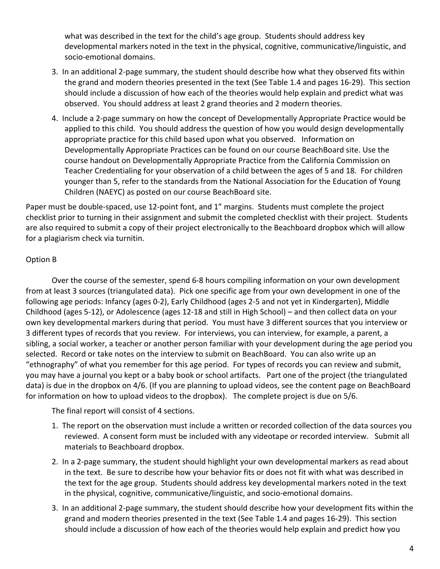what was described in the text for the child's age group. Students should address key developmental markers noted in the text in the physical, cognitive, communicative/linguistic, and socio-emotional domains.

- 3. In an additional 2-page summary, the student should describe how what they observed fits within the grand and modern theories presented in the text (See Table 1.4 and pages 16-29). This section should include a discussion of how each of the theories would help explain and predict what was observed. You should address at least 2 grand theories and 2 modern theories.
- 4. Include a 2-page summary on how the concept of Developmentally Appropriate Practice would be applied to this child. You should address the question of how you would design developmentally appropriate practice for this child based upon what you observed. Information on Developmentally Appropriate Practices can be found on our course BeachBoard site. Use the course handout on Developmentally Appropriate Practice from the California Commission on Teacher Credentialing for your observation of a child between the ages of 5 and 18. For children younger than 5, refer to the standards from the National Association for the Education of Young Children (NAEYC) as posted on our course BeachBoard site.

Paper must be double-spaced, use 12-point font, and 1" margins. Students must complete the project checklist prior to turning in their assignment and submit the completed checklist with their project. Students are also required to submit a copy of their project electronically to the Beachboard dropbox which will allow for a plagiarism check via turnitin.

## Option B

Over the course of the semester, spend 6-8 hours compiling information on your own development from at least 3 sources (triangulated data). Pick one specific age from your own development in one of the following age periods: Infancy (ages 0-2), Early Childhood (ages 2-5 and not yet in Kindergarten), Middle Childhood (ages 5-12), or Adolescence (ages 12-18 and still in High School) – and then collect data on your own key developmental markers during that period. You must have 3 different sources that you interview or 3 different types of records that you review. For interviews, you can interview, for example, a parent, a sibling, a social worker, a teacher or another person familiar with your development during the age period you selected. Record or take notes on the interview to submit on BeachBoard. You can also write up an "ethnography" of what you remember for this age period. For types of records you can review and submit, you may have a journal you kept or a baby book or school artifacts. Part one of the project (the triangulated data) is due in the dropbox on 4/6. (If you are planning to upload videos, see the content page on BeachBoard for information on how to upload videos to the dropbox). The complete project is due on 5/6.

The final report will consist of 4 sections.

- 1. The report on the observation must include a written or recorded collection of the data sources you reviewed. A consent form must be included with any videotape or recorded interview. Submit all materials to Beachboard dropbox.
- 2. In a 2-page summary, the student should highlight your own developmental markers as read about in the text. Be sure to describe how your behavior fits or does not fit with what was described in the text for the age group. Students should address key developmental markers noted in the text in the physical, cognitive, communicative/linguistic, and socio-emotional domains.
- 3. In an additional 2-page summary, the student should describe how your development fits within the grand and modern theories presented in the text (See Table 1.4 and pages 16-29). This section should include a discussion of how each of the theories would help explain and predict how you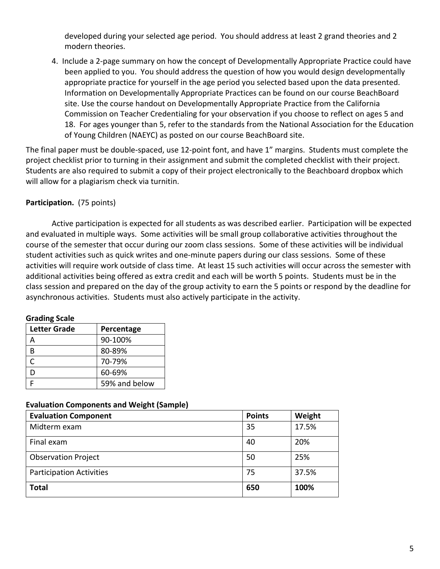developed during your selected age period. You should address at least 2 grand theories and 2 modern theories.

4. Include a 2-page summary on how the concept of Developmentally Appropriate Practice could have been applied to you. You should address the question of how you would design developmentally appropriate practice for yourself in the age period you selected based upon the data presented. Information on Developmentally Appropriate Practices can be found on our course BeachBoard site. Use the course handout on Developmentally Appropriate Practice from the California Commission on Teacher Credentialing for your observation if you choose to reflect on ages 5 and 18. For ages younger than 5, refer to the standards from the National Association for the Education of Young Children (NAEYC) as posted on our course BeachBoard site.

The final paper must be double-spaced, use 12-point font, and have 1" margins. Students must complete the project checklist prior to turning in their assignment and submit the completed checklist with their project. Students are also required to submit a copy of their project electronically to the Beachboard dropbox which will allow for a plagiarism check via turnitin.

## **Participation.** (75 points)

Active participation is expected for all students as was described earlier. Participation will be expected and evaluated in multiple ways. Some activities will be small group collaborative activities throughout the course of the semester that occur during our zoom class sessions. Some of these activities will be individual student activities such as quick writes and one-minute papers during our class sessions. Some of these activities will require work outside of class time. At least 15 such activities will occur across the semester with additional activities being offered as extra credit and each will be worth 5 points. Students must be in the class session and prepared on the day of the group activity to earn the 5 points or respond by the deadline for asynchronous activities. Students must also actively participate in the activity.

#### **Grading Scale**

| <b>Letter Grade</b> | Percentage    |  |
|---------------------|---------------|--|
| Д                   | 90-100%       |  |
| R                   | 80-89%        |  |
| ┌                   | 70-79%        |  |
| D                   | 60-69%        |  |
|                     | 59% and below |  |

#### **Evaluation Components and Weight (Sample)**

| <b>Evaluation Component</b>     | <b>Points</b> | Weight |
|---------------------------------|---------------|--------|
| Midterm exam                    | 35            | 17.5%  |
| Final exam                      | 40            | 20%    |
| <b>Observation Project</b>      | 50            | 25%    |
| <b>Participation Activities</b> | 75            | 37.5%  |
| <b>Total</b>                    | 650           | 100%   |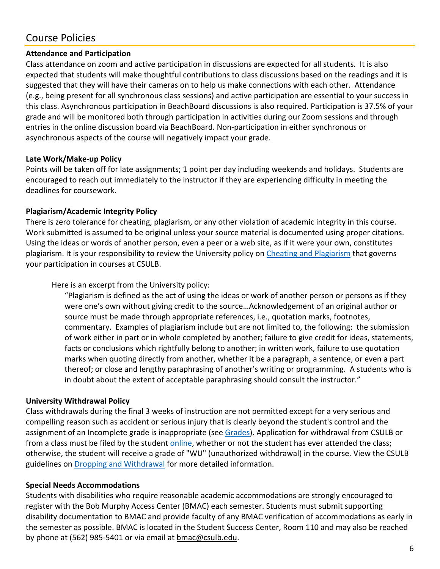# Course Policies

## **Attendance and Participation**

Class attendance on zoom and active participation in discussions are expected for all students. It is also expected that students will make thoughtful contributions to class discussions based on the readings and it is suggested that they will have their cameras on to help us make connections with each other. Attendance (e.g., being present for all synchronous class sessions) and active participation are essential to your success in this class. Asynchronous participation in BeachBoard discussions is also required. Participation is 37.5% of your grade and will be monitored both through participation in activities during our Zoom sessions and through entries in the online discussion board via BeachBoard. Non-participation in either synchronous or asynchronous aspects of the course will negatively impact your grade.

## **Late Work/Make-up Policy**

Points will be taken off for late assignments; 1 point per day including weekends and holidays. Students are encouraged to reach out immediately to the instructor if they are experiencing difficulty in meeting the deadlines for coursework.

## **Plagiarism/Academic Integrity Policy**

There is zero tolerance for cheating, plagiarism, or any other violation of academic integrity in this course. Work submitted is assumed to be original unless your source material is documented using proper citations. Using the ideas or words of another person, even a peer or a web site, as if it were your own, constitutes plagiarism. It is your responsibility to review the University policy on [Cheating and Plagiarism](http://catalog.csulb.edu/content.php?catoid=5&navoid=369#cheating-and-plagiarism) that governs your participation in courses at CSULB.

Here is an excerpt from the University policy:

"Plagiarism is defined as the act of using the ideas or work of another person or persons as if they were one's own without giving credit to the source…Acknowledgement of an original author or source must be made through appropriate references, i.e., quotation marks, footnotes, commentary. Examples of plagiarism include but are not limited to, the following: the submission of work either in part or in whole completed by another; failure to give credit for ideas, statements, facts or conclusions which rightfully belong to another; in written work, failure to use quotation marks when quoting directly from another, whether it be a paragraph, a sentence, or even a part thereof; or close and lengthy paraphrasing of another's writing or programming. A students who is in doubt about the extent of acceptable paraphrasing should consult the instructor."

## **University Withdrawal Policy**

Class withdrawals during the final 3 weeks of instruction are not permitted except for a very serious and compelling reason such as accident or serious injury that is clearly beyond the student's control and the assignment of an Incomplete grade is inappropriate (see [Grades\)](http://www.csulb.edu/depts/enrollment/student_academic_records/grading.html). Application for withdrawal from CSULB or from a class must be filed by the student [online,](https://www.csulb.edu/student-records/dropping-and-withdrawing) whether or not the student has ever attended the class; otherwise, the student will receive a grade of "WU" (unauthorized withdrawal) in the course. View the CSULB guidelines on [Dropping and Withdrawal](https://www.csulb.edu/student-records/dropping-and-withdrawing#:%7E:text=Policy,after%20separation%20from%20the%20university.) for more detailed information.

## **Special Needs Accommodations**

Students with disabilities who require reasonable academic accommodations are strongly encouraged to register with the Bob Murphy Access Center (BMAC) each semester. Students must submit supporting disability documentation to BMAC and provide faculty of any BMAC verification of accommodations as early in the semester as possible. BMAC is located in the Student Success Center, Room 110 and may also be reached by phone at (562) 985-5401 or via email at [bmac@csulb.edu.](mailto:bmac@csulb.edu)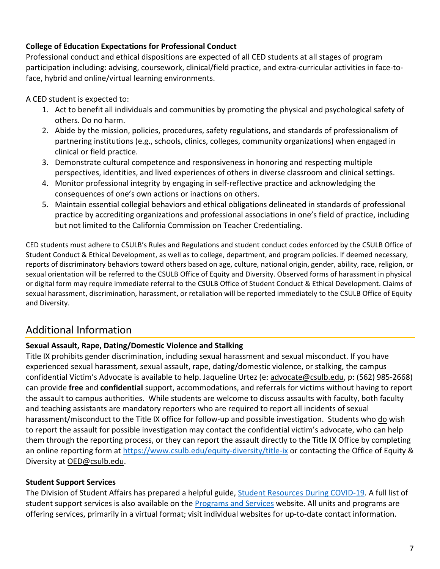## **College of Education Expectations for Professional Conduct**

Professional conduct and ethical dispositions are expected of all CED students at all stages of program participation including: advising, coursework, clinical/field practice, and extra-curricular activities in face-toface, hybrid and online/virtual learning environments.

A CED student is expected to:

- 1. Act to benefit all individuals and communities by promoting the physical and psychological safety of others. Do no harm.
- 2. Abide by the mission, policies, procedures, safety regulations, and standards of professionalism of partnering institutions (e.g., schools, clinics, colleges, community organizations) when engaged in clinical or field practice.
- 3. Demonstrate cultural competence and responsiveness in honoring and respecting multiple perspectives, identities, and lived experiences of others in diverse classroom and clinical settings.
- 4. Monitor professional integrity by engaging in self-reflective practice and acknowledging the consequences of one's own actions or inactions on others.
- 5. Maintain essential collegial behaviors and ethical obligations delineated in standards of professional practice by accrediting organizations and professional associations in one's field of practice, including but not limited to the California Commission on Teacher Credentialing.

CED students must adhere to CSULB's Rules and Regulations and student conduct codes enforced by the CSULB Office of Student Conduct & Ethical Development, as well as to college, department, and program policies. If deemed necessary, reports of discriminatory behaviors toward others based on age, culture, national origin, gender, ability, race, religion, or sexual orientation will be referred to the CSULB Office of Equity and Diversity. Observed forms of harassment in physical or digital form may require immediate referral to the CSULB Office of Student Conduct & Ethical Development. Claims of sexual harassment, discrimination, harassment, or retaliation will be reported immediately to the CSULB Office of Equity and Diversity.

# Additional Information

## **Sexual Assault, Rape, Dating/Domestic Violence and Stalking**

Title IX prohibits gender discrimination, including sexual harassment and sexual misconduct. If you have experienced sexual harassment, sexual assault, rape, dating/domestic violence, or stalking, the campus confidential Victim's Advocate is available to help. Jaqueline Urtez (e: [advocate@csulb.edu,](mailto:advocate@csulb.edu) p: (562) 985-2668) can provide **free** and **confidential** support, accommodations, and referrals for victims without having to report the assault to campus authorities. While students are welcome to discuss assaults with faculty, both faculty and teaching assistants are mandatory reporters who are required to report all incidents of sexual harassment/misconduct to the Title IX office for follow-up and possible investigation. Students who do wish to report the assault for possible investigation may contact the confidential victim's advocate, who can help them through the reporting process, or they can report the assault directly to the Title IX Office by completing an online reporting form at<https://www.csulb.edu/equity-diversity/title-ix> or contacting the Office of Equity & Diversity at [OED@csulb.edu.](mailto:OED@csulb.edu)

## **Student Support Services**

The Division of Student Affairs has prepared a helpful guide, [Student Resources During COVID-19.](http://web.csulb.edu/divisions/students/documents/2020_COVID19_StudentResourceBook_ADA.pdf) A full list of student support services is also available on the [Programs and Services](http://web.csulb.edu/divisions/students/programs.html) website. All units and programs are offering services, primarily in a virtual format; visit individual websites for up-to-date contact information.